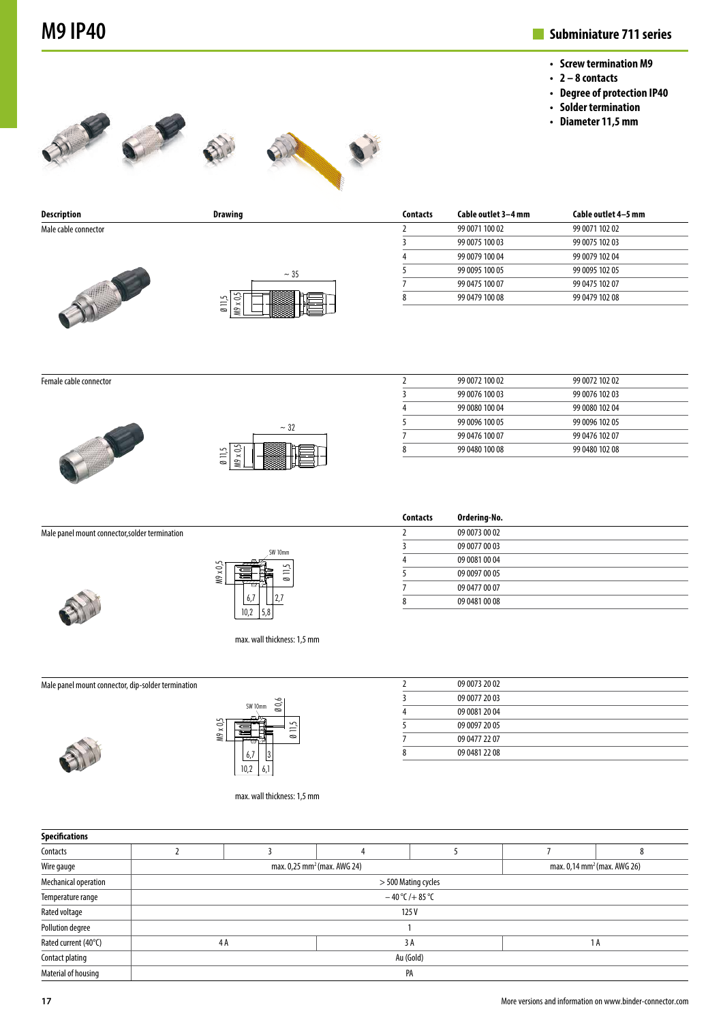## **M9 IP40 Subminiature 711 series**

- **• Screw termination M9**
- **• 2 8 contacts**
- **• Degree of protection IP40**
- **• Solder termination**
- **• Diameter 11,5 mm**









**Description Drawing** Male cable connector



|               | ~1.35 |  |  |
|---------------|-------|--|--|
| $\frac{1}{2}$ |       |  |  |

| <b>Contacts</b> | Cable outlet 3-4 mm | Cable outlet 4-5 mm |  |
|-----------------|---------------------|---------------------|--|
|                 | 99 0071 100 02      | 99 0071 102 02      |  |
| ξ               | 99 0075 100 03      | 99 0075 102 03      |  |
| 4               | 99 0079 100 04      | 99 0079 102 04      |  |
|                 | 99 0095 100 05      | 99 0095 102 05      |  |
|                 | 99 0475 100 07      | 99 0475 102 07      |  |
| 8               | 99 0479 100 08      | 99 0479 102 08      |  |

Female cable connector





| 2 | 99 0072 100 02 | 99 0072 102 02 |  |
|---|----------------|----------------|--|
| 3 | 99 0076 100 03 | 99 0076 102 03 |  |
| 4 | 99 0080 100 04 | 99 0080 102 04 |  |
|   | 99 0096 100 05 | 99 0096 102 05 |  |
|   | 99 0476 100 07 | 99 0476 102 07 |  |
| 8 | 99 0480 100 08 | 99 0480 102 08 |  |
|   |                |                |  |

**Contacts Ordering-No.** 2 09 0073 00 02 09 0077 00 03 09 0081 00 04 09 0097 00 05 09 0477 00 07 09 0481 00 08

|  | Male panel mount connector, solder termination |  |
|--|------------------------------------------------|--|
|--|------------------------------------------------|--|





max. wall thickness: 1,5 mm

 $10<sub>r</sub>$ 

Male panel mount connector, dip-solder termination





max. wall thickness: 1,5 mm

| 09 0073 20 02 |  |
|---------------|--|
| 09 0077 20 03 |  |
| 09 0081 20 04 |  |
| 09 0097 20 05 |  |
| 09 0477 22 07 |  |
| 09 0481 22 08 |  |

| <b>Specifications</b>   |                                                                                    |  |    |  |  |     |
|-------------------------|------------------------------------------------------------------------------------|--|----|--|--|-----|
| Contacts                |                                                                                    |  |    |  |  |     |
| Wire gauge              | max. 0,14 mm <sup>2</sup> (max. AWG 26)<br>max. 0,25 mm <sup>2</sup> (max. AWG 24) |  |    |  |  |     |
| Mechanical operation    | > 500 Mating cycles                                                                |  |    |  |  |     |
| Temperature range       | $-40$ °C/+85 °C                                                                    |  |    |  |  |     |
| Rated voltage           | 125V                                                                               |  |    |  |  |     |
| <b>Pollution degree</b> |                                                                                    |  |    |  |  |     |
| Rated current (40°C)    | 4A                                                                                 |  | 3A |  |  | 1 A |
| Contact plating         | Au (Gold)                                                                          |  |    |  |  |     |
| Material of housing     | PA                                                                                 |  |    |  |  |     |